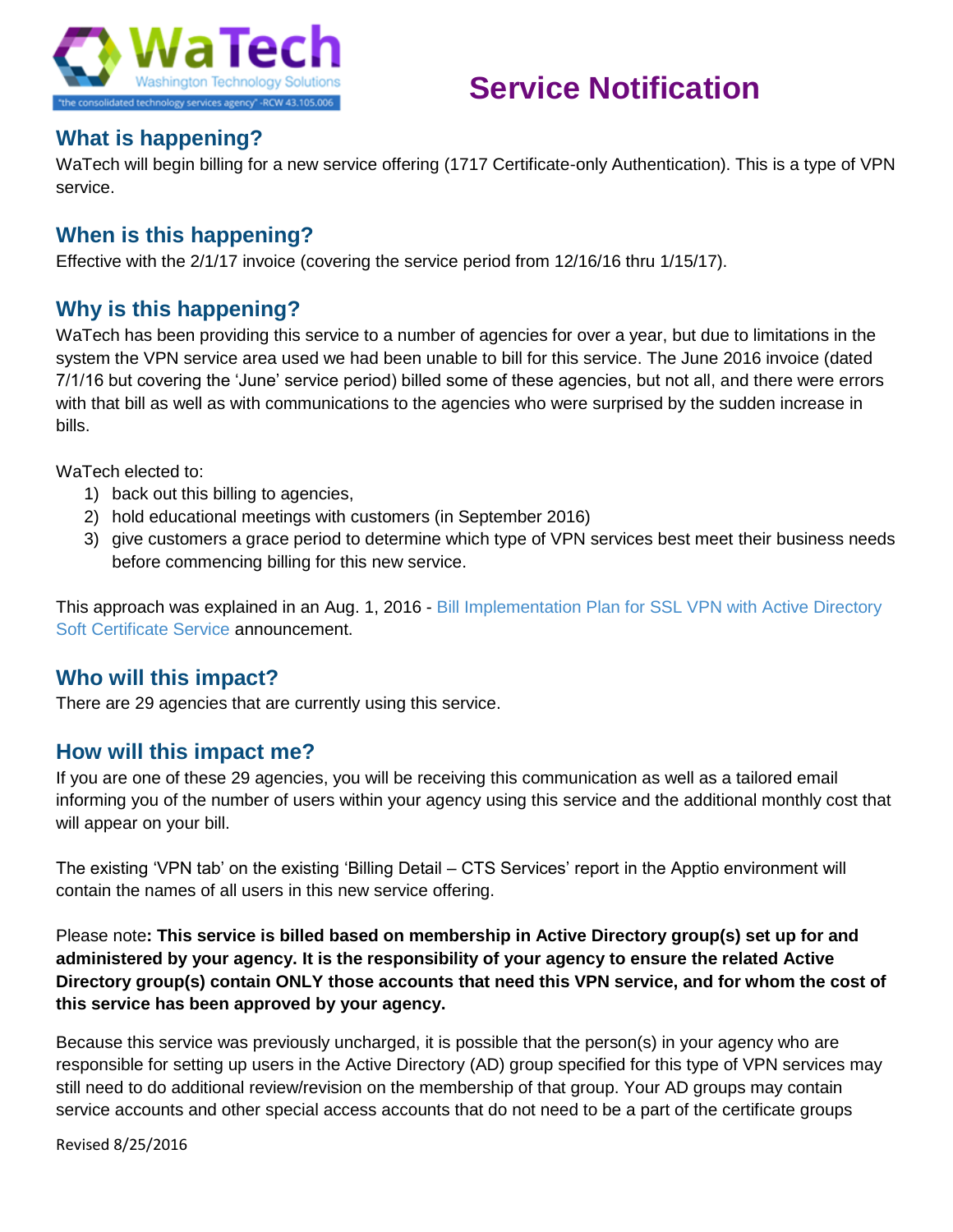

## **Service Notification**

#### **What is happening?**

WaTech will begin billing for a new service offering (1717 Certificate-only Authentication). This is a type of VPN service.

### **When is this happening?**

Effective with the 2/1/17 invoice (covering the service period from 12/16/16 thru 1/15/17).

## **Why is this happening?**

WaTech has been providing this service to a number of agencies for over a year, but due to limitations in the system the VPN service area used we had been unable to bill for this service. The June 2016 invoice (dated 7/1/16 but covering the 'June' service period) billed some of these agencies, but not all, and there were errors with that bill as well as with communications to the agencies who were surprised by the sudden increase in bills.

WaTech elected to:

- 1) back out this billing to agencies,
- 2) hold educational meetings with customers (in September 2016)
- 3) give customers a grace period to determine which type of VPN services best meet their business needs before commencing billing for this new service.

This approach was explained in an Aug. 1, 2016 - Bill Implementation Plan for SSL VPN with Active Directory [Soft Certificate Service](http://publications.watech.wa.gov/bulletins/2016/11-3-30.htm) announcement.

## **Who will this impact?**

There are 29 agencies that are currently using this service.

#### **How will this impact me?**

If you are one of these 29 agencies, you will be receiving this communication as well as a tailored email informing you of the number of users within your agency using this service and the additional monthly cost that will appear on your bill.

The existing 'VPN tab' on the existing 'Billing Detail – CTS Services' report in the Apptio environment will contain the names of all users in this new service offering.

Please note**: This service is billed based on membership in Active Directory group(s) set up for and administered by your agency. It is the responsibility of your agency to ensure the related Active Directory group(s) contain ONLY those accounts that need this VPN service, and for whom the cost of this service has been approved by your agency.**

Because this service was previously uncharged, it is possible that the person(s) in your agency who are responsible for setting up users in the Active Directory (AD) group specified for this type of VPN services may still need to do additional review/revision on the membership of that group. Your AD groups may contain service accounts and other special access accounts that do not need to be a part of the certificate groups

Revised 8/25/2016